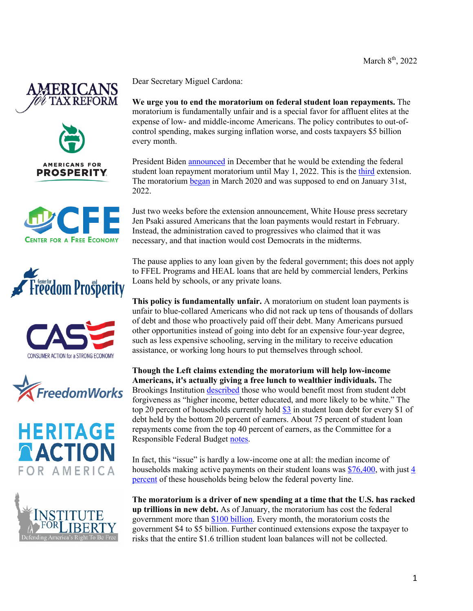















Dear Secretary Miguel Cardona:

**We urge you to end the moratorium on federal student loan repayments.** The moratorium is fundamentally unfair and is a special favor for affluent elites at the expense of low- and middle-income Americans. The policy contributes to out-ofcontrol spending, makes surging inflation worse, and costs taxpayers \$5 billion every month.

President Biden **announced** in December that he would be extending the federal student loan repayment moratorium until May 1, 2022. This is the third extension. The moratorium began in March 2020 and was supposed to end on January 31st, 2022.

Just two weeks before the extension announcement, White House press secretary Jen Psaki assured Americans that the loan payments would restart in February. Instead, the administration caved to progressives who claimed that it was necessary, and that inaction would cost Democrats in the midterms.

The pause applies to any loan given by the federal government; this does not apply to FFEL Programs and HEAL loans that are held by commercial lenders, Perkins Loans held by schools, or any private loans.

**This policy is fundamentally unfair.** A moratorium on student loan payments is unfair to blue-collared Americans who did not rack up tens of thousands of dollars of debt and those who proactively paid off their debt. Many Americans pursued other opportunities instead of going into debt for an expensive four-year degree, such as less expensive schooling, serving in the military to receive education assistance, or working long hours to put themselves through school.

**Though the Left claims extending the moratorium will help low-income Americans, it's actually giving a free lunch to wealthier individuals.** The Brookings Institution described those who would benefit most from student debt forgiveness as "higher income, better educated, and more likely to be white." The top 20 percent of households currently hold \$3 in student loan debt for every \$1 of debt held by the bottom 20 percent of earners. About 75 percent of student loan repayments come from the top 40 percent of earners, as the Committee for a Responsible Federal Budget notes.

In fact, this "issue" is hardly a low-income one at all: the median income of households making active payments on their student loans was \$76,400, with just 4 percent of these households being below the federal poverty line.

**The moratorium is a driver of new spending at a time that the U.S. has racked up trillions in new debt.** As of January, the moratorium has cost the federal government more than \$100 billion. Every month, the moratorium costs the government \$4 to \$5 billion. Further continued extensions expose the taxpayer to risks that the entire \$1.6 trillion student loan balances will not be collected.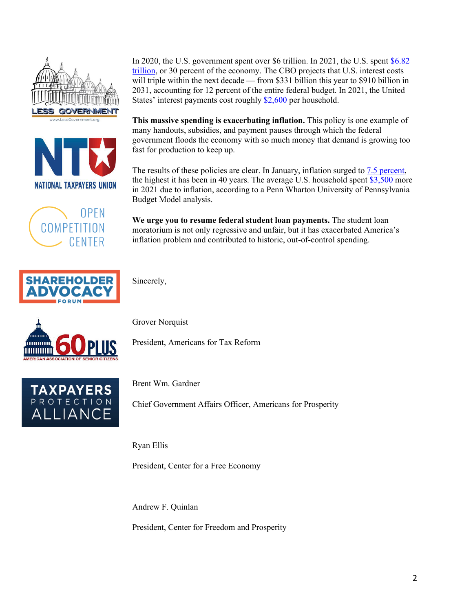





In 2020, the U.S. government spent over \$6 trillion. In 2021, the U.S. spent \$6.82 trillion, or 30 percent of the economy. The CBO projects that U.S. interest costs will triple within the next decade — from \$331 billion this year to \$910 billion in 2031, accounting for 12 percent of the entire federal budget. In 2021, the United States' interest payments cost roughly \$2,600 per household.

**This massive spending is exacerbating inflation.** This policy is one example of many handouts, subsidies, and payment pauses through which the federal government floods the economy with so much money that demand is growing too fast for production to keep up.

The results of these policies are clear. In January, inflation surged to 7.5 percent, the highest it has been in 40 years. The average U.S. household spent \$3,500 more in 2021 due to inflation, according to a Penn Wharton University of Pennsylvania Budget Model analysis.

**We urge you to resume federal student loan payments.** The student loan moratorium is not only regressive and unfair, but it has exacerbated America's inflation problem and contributed to historic, out-of-control spending.



Sincerely,



Grover Norquist

President, Americans for Tax Reform



Brent Wm. Gardner

Chief Government Affairs Officer, Americans for Prosperity

Ryan Ellis

President, Center for a Free Economy

Andrew F. Quinlan

President, Center for Freedom and Prosperity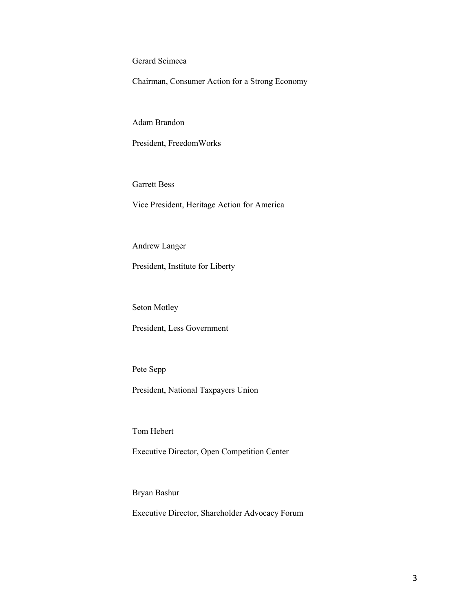Gerard Scimeca

Chairman, Consumer Action for a Strong Economy

Adam Brandon

President, FreedomWorks

Garrett Bess

Vice President, Heritage Action for America

Andrew Langer

President, Institute for Liberty

Seton Motley

President, Less Government

Pete Sepp

President, National Taxpayers Union

Tom Hebert

Executive Director, Open Competition Center

Bryan Bashur

Executive Director, Shareholder Advocacy Forum